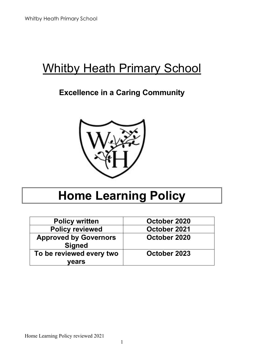# Whitby Heath Primary School

# **Excellence in a Caring Community**



# **Home Learning Policy**

| <b>Policy written</b>                         | October 2020 |
|-----------------------------------------------|--------------|
| <b>Policy reviewed</b>                        | October 2021 |
| <b>Approved by Governors</b><br><b>Signed</b> | October 2020 |
| To be reviewed every two<br>vears             | October 2023 |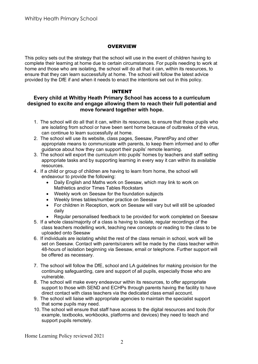#### **OVERVIEW**

This policy sets out the strategy that the school will use in the event of children having to complete their learning at home due to certain circumstances. For pupils needing to work at home and those who are isolating, the school will do all that it can, within its resources, to ensure that they can learn successfully at home. The school will follow the latest advice provided by the DfE if and when it needs to enact the intentions set out in this policy.

#### INTENT

### **Every child at Whitby Heath Primary School has access to a curriculum designed to excite and engage allowing them to reach their full potential and move forward together with hope.**

- 1. The school will do all that it can, within its resources, to ensure that those pupils who are isolating from school or have been sent home because of outbreaks of the virus, can continue to learn successfully at home.
- 2. The school will use its website, class pages, Seesaw, ParentPay and other appropriate means to communicate with parents, to keep them informed and to offer guidance about how they can support their pupils' remote learning.
- 3. The school will export the curriculum into pupils' homes by teachers and staff setting appropriate tasks and by supporting learning in every way it can within its available resources.
- 4. If a child or group of children are having to learn from home, the school will endeavour to provide the following:
	- Daily English and Maths work on Seesaw, which may link to work on Mathletics and/or Times Tables Rockstars
	- Weekly work on Seesaw for the foundation subjects
	- Weekly times tables/number practice on Seesaw
	- For children in Reception, work on Seesaw will vary but will still be uploaded daily
	- Regular personalised feedback to be provided for work completed on Seesaw
- 5. If a whole class/majority of a class is having to isolate, regular recordings of the class teachers modelling work, teaching new concepts or reading to the class to be uploaded onto Seesaw
- 6. If individuals are isolating whilst the rest of the class remain in school, work will be set on Seesaw. Contact with parents/carers will be made by the class teacher within 48-hours of isolation beginning via Seesaw, email or telephone. Further support will be offered as necessary.
- 7. The school will follow the DfE, school and LA guidelines for making provision for the continuing safeguarding, care and support of all pupils, especially those who are vulnerable.
- 8. The school will make every endeavour within its resources, to offer appropriate support to those with SEND and ECHPs through parents having the facility to have direct contact with class teachers via the dedicated class email account.
- 9. The school will liaise with appropriate agencies to maintain the specialist support that some pupils may need.
- 10. The school will ensure that staff have access to the digital resources and tools (for example, textbooks, workbooks, platforms and devices) they need to teach and support pupils remotely.

Home Learning Policy reviewed 2021